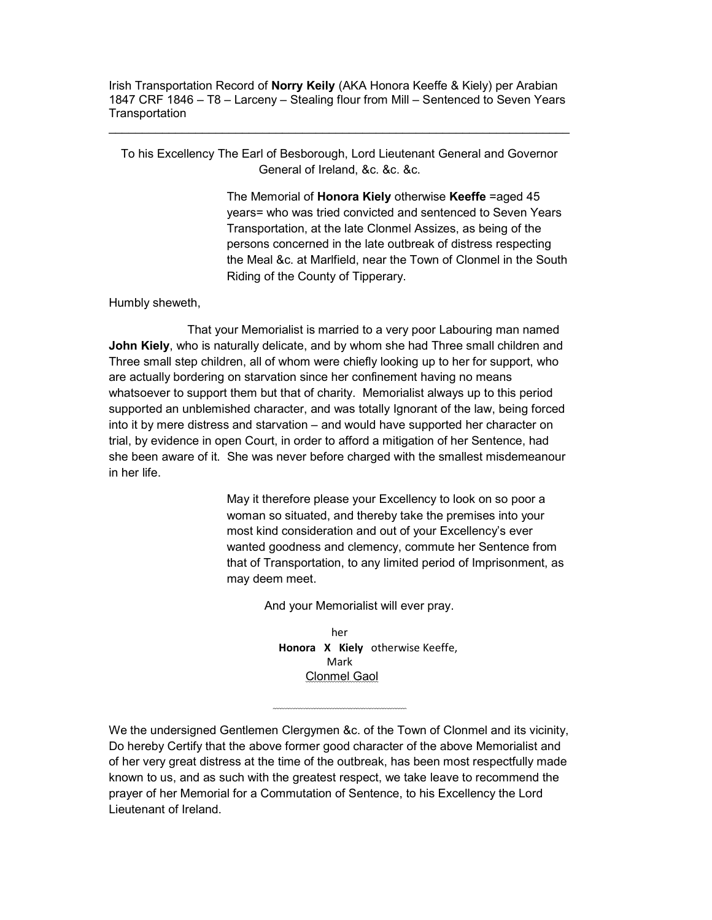Irish Transportation Record of Norry Keily (AKA Honora Keeffe & Kiely) per Arabian 1847 CRF 1846 – T8 – Larceny – Stealing flour from Mill – Sentenced to Seven Years **Transportation** 

To his Excellency The Earl of Besborough, Lord Lieutenant General and Governor General of Ireland, &c. &c. &c.

> The Memorial of **Honora Kiely** otherwise Keeffe = aged 45 years= who was tried convicted and sentenced to Seven Years Transportation, at the late Clonmel Assizes, as being of the persons concerned in the late outbreak of distress respecting the Meal &c. at Marlfield, near the Town of Clonmel in the South Riding of the County of Tipperary.

Humbly sheweth,

 That your Memorialist is married to a very poor Labouring man named John Kiely, who is naturally delicate, and by whom she had Three small children and Three small step children, all of whom were chiefly looking up to her for support, who are actually bordering on starvation since her confinement having no means whatsoever to support them but that of charity. Memorialist always up to this period supported an unblemished character, and was totally Ignorant of the law, being forced into it by mere distress and starvation – and would have supported her character on trial, by evidence in open Court, in order to afford a mitigation of her Sentence, had she been aware of it. She was never before charged with the smallest misdemeanour in her life.

> May it therefore please your Excellency to look on so poor a woman so situated, and thereby take the premises into your most kind consideration and out of your Excellency's ever wanted goodness and clemency, commute her Sentence from that of Transportation, to any limited period of Imprisonment, as may deem meet.

> > And your Memorialist will ever pray.

her Honora X Kiely otherwise Keeffe, Mark Clonmel Gaol

We the undersigned Gentlemen Clergymen &c. of the Town of Clonmel and its vicinity, Do hereby Certify that the above former good character of the above Memorialist and of her very great distress at the time of the outbreak, has been most respectfully made known to us, and as such with the greatest respect, we take leave to recommend the prayer of her Memorial for a Commutation of Sentence, to his Excellency the Lord Lieutenant of Ireland.

 $\sim$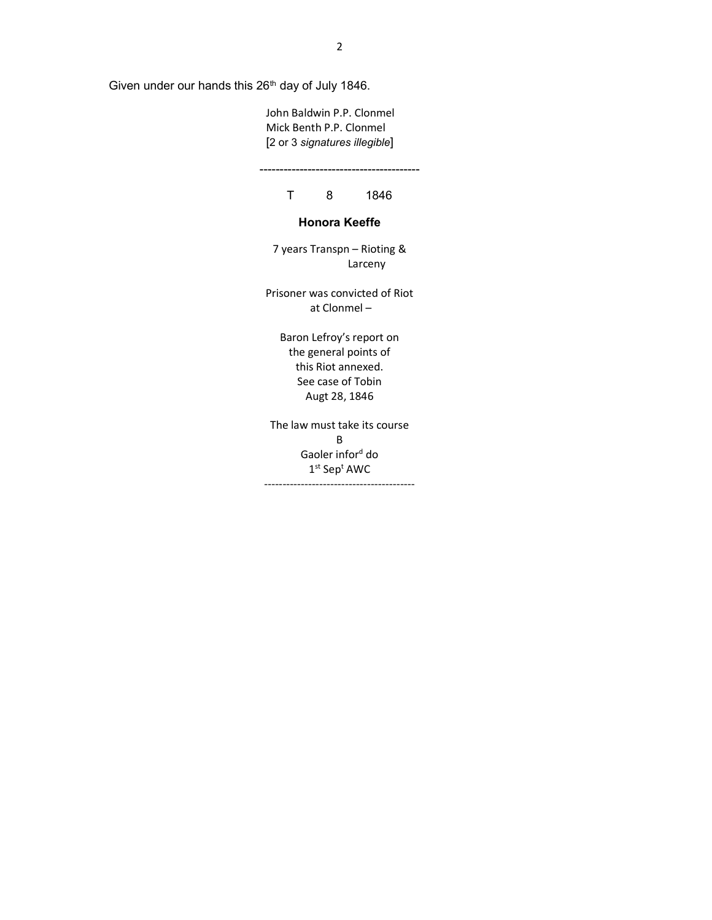Given under our hands this 26<sup>th</sup> day of July 1846.

 John Baldwin P.P. Clonmel Mick Benth P.P. Clonmel [2 or 3 signatures illegible]

----------------------------------------

T 8 1846

## Honora Keeffe

7 years Transpn – Rioting & Larceny

Prisoner was convicted of Riot at Clonmel –

Baron Lefroy's report on the general points of this Riot annexed. See case of Tobin Augt 28, 1846

The law must take its course B Gaoler infor<sup>d</sup> do  $1^{\rm st}$  Sep $^{\rm t}$  AWC -----------------------------------------